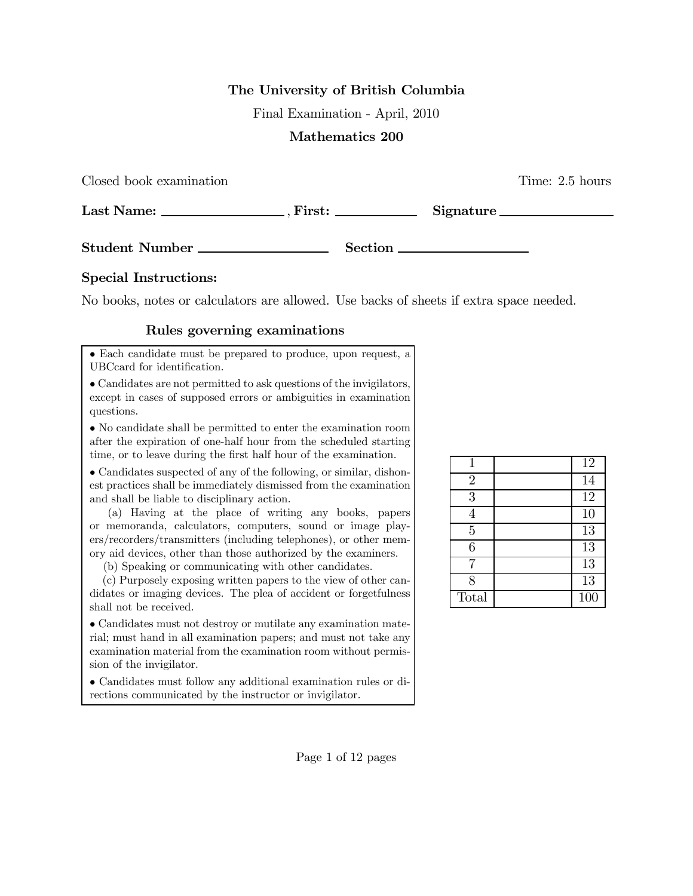## The University of British Columbia

Final Examination - April, 2010

## Mathematics 200

| Closed book examination                                                                                                                                                                                                                                                                                                                                                                                              |                | Time: 2.5 hours |
|----------------------------------------------------------------------------------------------------------------------------------------------------------------------------------------------------------------------------------------------------------------------------------------------------------------------------------------------------------------------------------------------------------------------|----------------|-----------------|
| Last Name: $\frac{1}{\sqrt{1-\frac{1}{2}}}\frac{1}{\sqrt{1-\frac{1}{2}}}\frac{1}{\sqrt{1-\frac{1}{2}}}\frac{1}{\sqrt{1-\frac{1}{2}}}\frac{1}{\sqrt{1-\frac{1}{2}}}\frac{1}{\sqrt{1-\frac{1}{2}}}\frac{1}{\sqrt{1-\frac{1}{2}}}\frac{1}{\sqrt{1-\frac{1}{2}}}\frac{1}{\sqrt{1-\frac{1}{2}}}\frac{1}{\sqrt{1-\frac{1}{2}}}\frac{1}{\sqrt{1-\frac{1}{2}}}\frac{1}{\sqrt{1-\frac{1}{2}}}\frac{1}{\sqrt{1-\frac{1}{2}}}\$ | $First: \_\_$  | Signature       |
| <b>Student Number</b>                                                                                                                                                                                                                                                                                                                                                                                                | <b>Section</b> |                 |

## Special Instructions:

No books, notes or calculators are allowed. Use backs of sheets if extra space needed.

## Rules governing examinations

• Each candidate must be prepared to produce, upon request, a UBCcard for identification.

• Candidates are not permitted to ask questions of the invigilators, except in cases of supposed errors or ambiguities in examination questions.

• No candidate shall be permitted to enter the examination room after the expiration of one-half hour from the scheduled starting time, or to leave during the first half hour of the examination.

• Candidates suspected of any of the following, or similar, dishonest practices shall be immediately dismissed from the examination and shall be liable to disciplinary action.

(a) Having at the place of writing any books, papers or memoranda, calculators, computers, sound or image players/recorders/transmitters (including telephones), or other memory aid devices, other than those authorized by the examiners.

(b) Speaking or communicating with other candidates.

(c) Purposely exposing written papers to the view of other candidates or imaging devices. The plea of accident or forgetfulness shall not be received.

• Candidates must not destroy or mutilate any examination material; must hand in all examination papers; and must not take any examination material from the examination room without permission of the invigilator.

• Candidates must follow any additional examination rules or directions communicated by the instructor or invigilator.

| 1              | 12               |
|----------------|------------------|
| $\overline{2}$ | 14               |
| 3              | 12               |
| 4              | 10               |
| $\overline{5}$ | <sup>13</sup>    |
| 6              | $\overline{13}$  |
| 7              | 13               |
| 8              | $\overline{13}$  |
| Total          | $\overline{100}$ |

Page 1 of 12 pages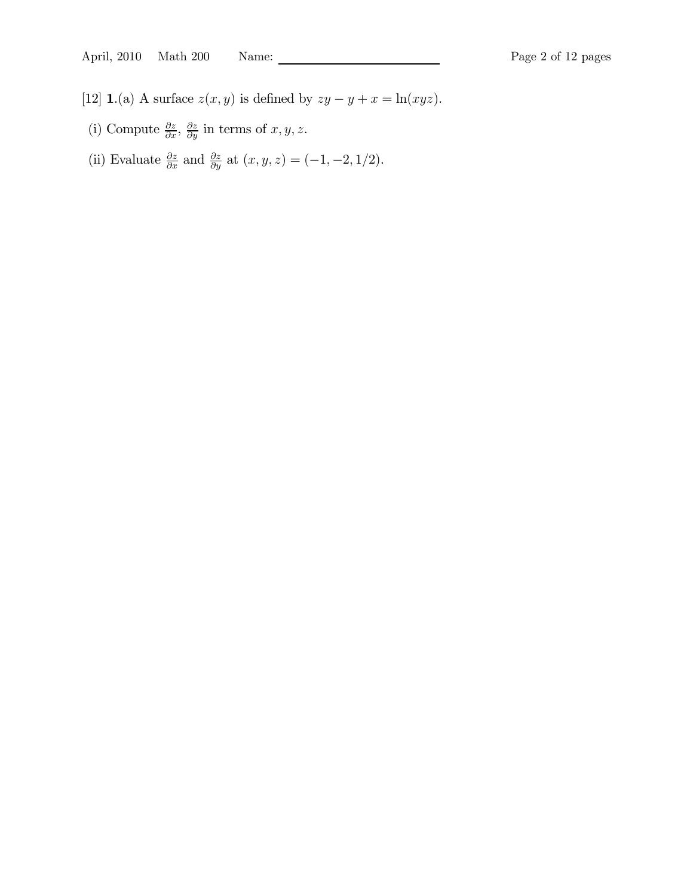- [12] **1.**(a) A surface  $z(x, y)$  is defined by  $zy y + x = \ln(xyz)$ .
	- (i) Compute  $\frac{\partial z}{\partial x}$ ,  $\frac{\partial z}{\partial y}$  in terms of  $x, y, z$ .
	- (ii) Evaluate  $\frac{\partial z}{\partial x}$  and  $\frac{\partial z}{\partial y}$  at  $(x, y, z) = (-1, -2, 1/2)$ .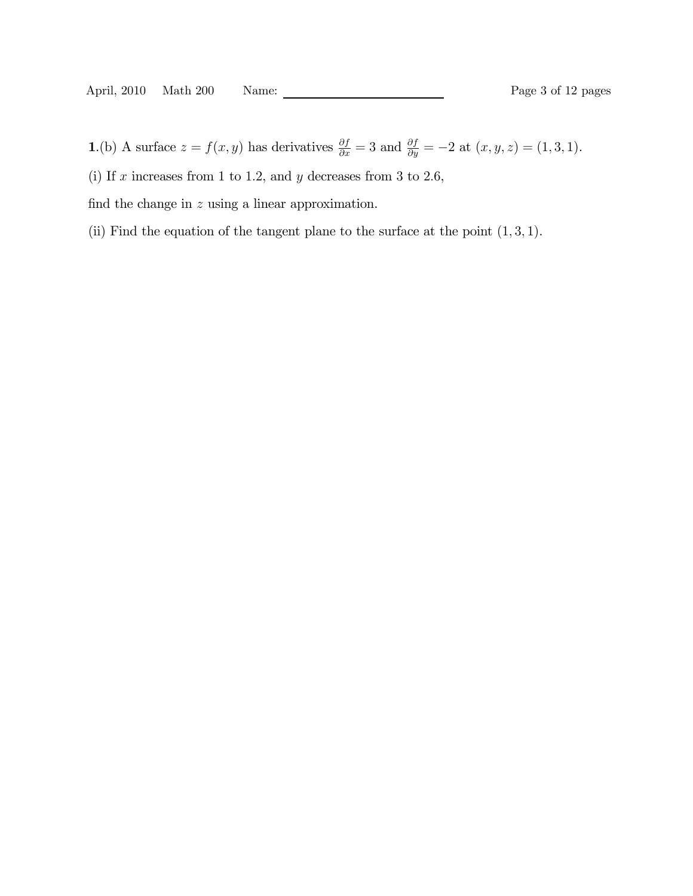1.(b) A surface  $z = f(x, y)$  has derivatives  $\frac{\partial f}{\partial x} = 3$  and  $\frac{\partial f}{\partial y} = -2$  at  $(x, y, z) = (1, 3, 1)$ .

(i) If  $x$  increases from 1 to 1.2, and  $y$  decreases from 3 to 2.6,

find the change in  $z$  using a linear approximation.

(ii) Find the equation of the tangent plane to the surface at the point  $(1, 3, 1)$ .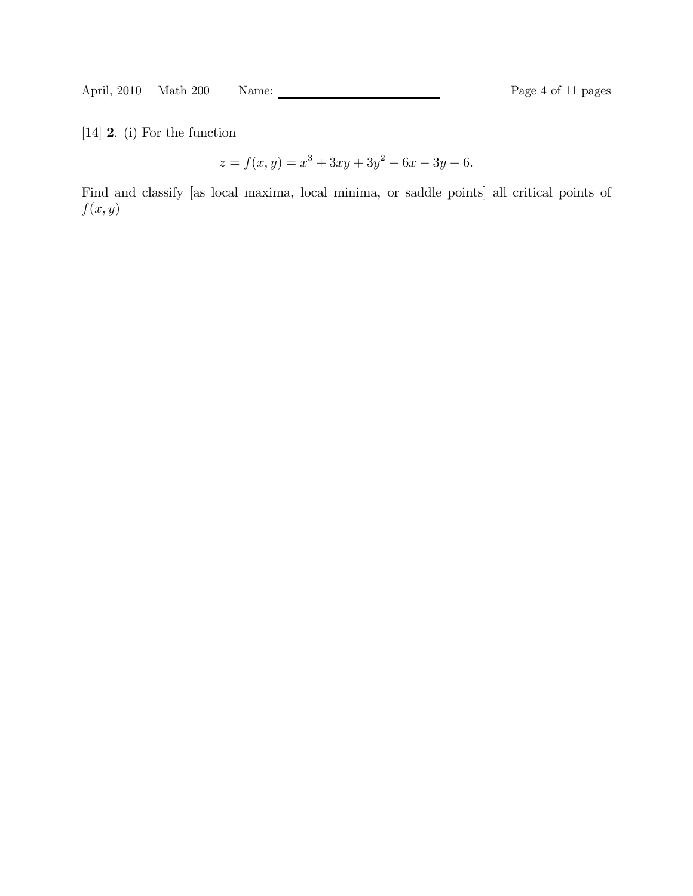[14] 2. (i) For the function

 $z = f(x, y) = x^{3} + 3xy + 3y^{2} - 6x - 3y - 6.$ 

Find and classify [as local maxima, local minima, or saddle points] all critical points of  $f(x, y)$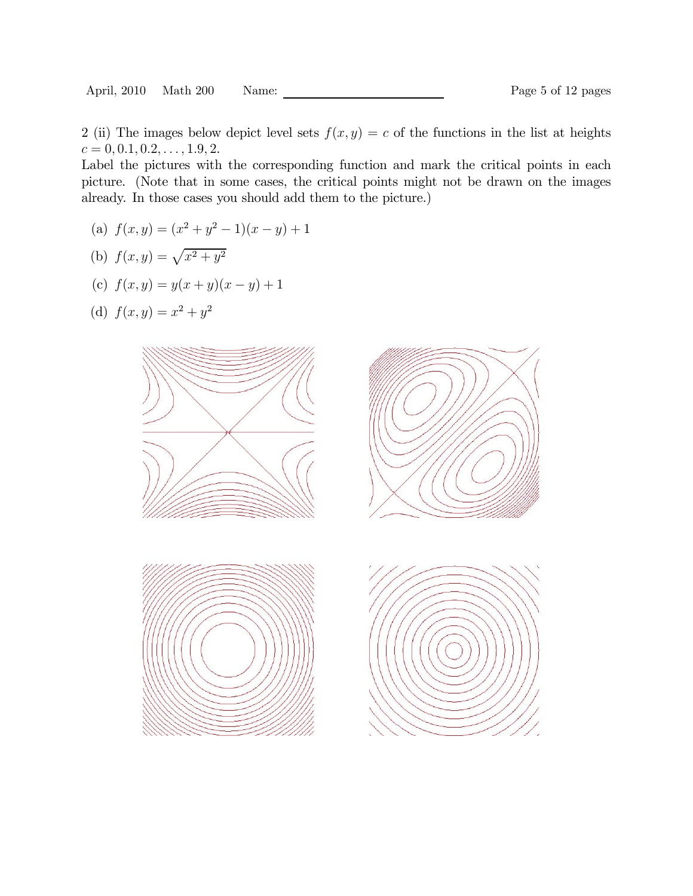2 (ii) The images below depict level sets  $f(x, y) = c$  of the functions in the list at heights  $c = 0, 0.1, 0.2, \ldots, 1.9, 2.$ 

Label the pictures with the corresponding function and mark the critical points in each picture. (Note that in some cases, the critical points might not be drawn on the images already. In those cases you should add them to the picture.)

- (a)  $f(x, y) = (x^2 + y^2 1)(x y) + 1$
- (b)  $f(x, y) = \sqrt{x^2 + y^2}$
- (c)  $f(x, y) = y(x + y)(x y) + 1$
- (d)  $f(x, y) = x^2 + y^2$





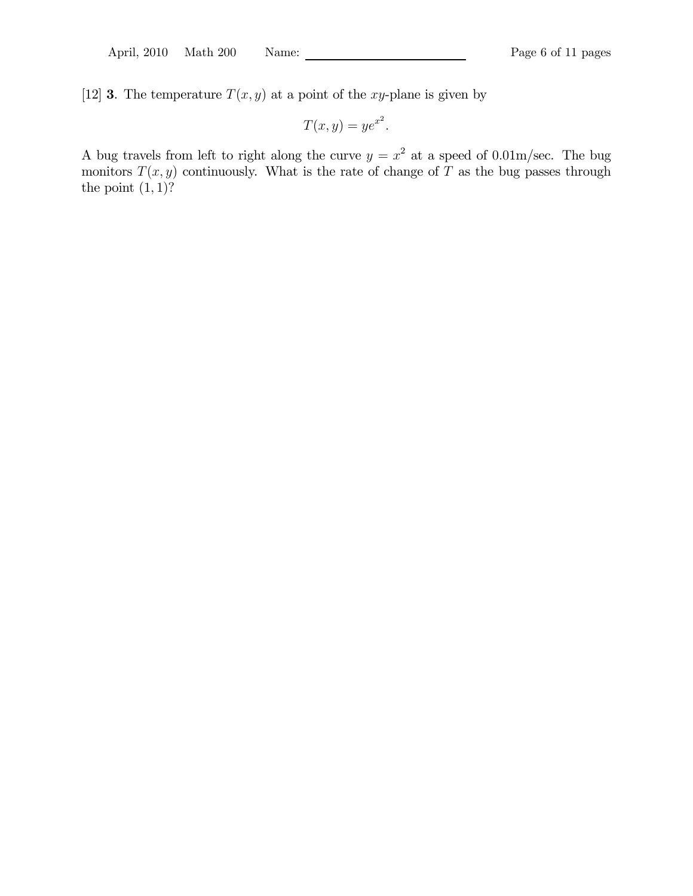[12] **3**. The temperature  $T(x, y)$  at a point of the xy-plane is given by

$$
T(x,y) = ye^{x^2}.
$$

A bug travels from left to right along the curve  $y = x^2$  at a speed of 0.01m/sec. The bug monitors  $T(x, y)$  continuously. What is the rate of change of T as the bug passes through the point  $(1, 1)$ ?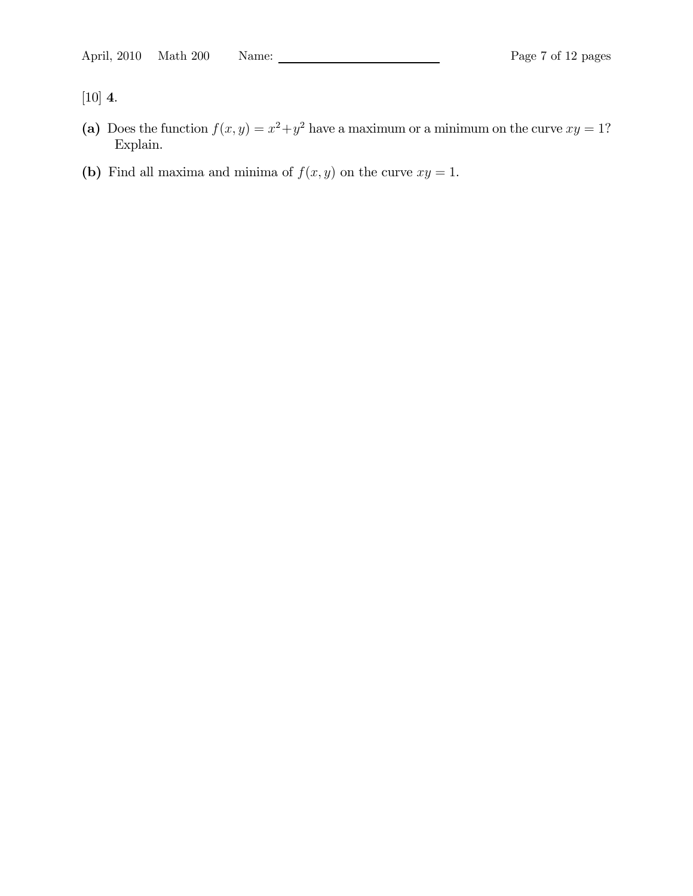[10] 4.

- (a) Does the function  $f(x, y) = x^2 + y^2$  have a maximum or a minimum on the curve  $xy = 1$ ? Explain.
- (b) Find all maxima and minima of  $f(x, y)$  on the curve  $xy = 1$ .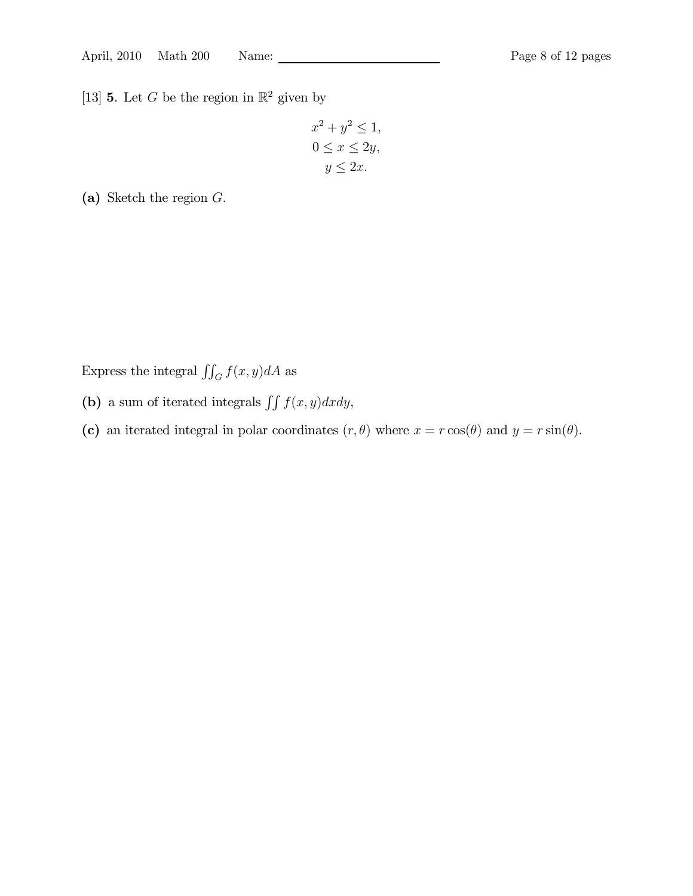[13] **5**. Let G be the region in  $\mathbb{R}^2$  given by

$$
x^{2} + y^{2} \le 1,
$$
  
\n
$$
0 \le x \le 2y,
$$
  
\n
$$
y \le 2x.
$$

(a) Sketch the region G.

Express the integral  $\iint_G f(x, y) dA$  as

- (b) a sum of iterated integrals  $\iint f(x, y)dxdy$ ,
- (c) an iterated integral in polar coordinates  $(r, \theta)$  where  $x = r \cos(\theta)$  and  $y = r \sin(\theta)$ .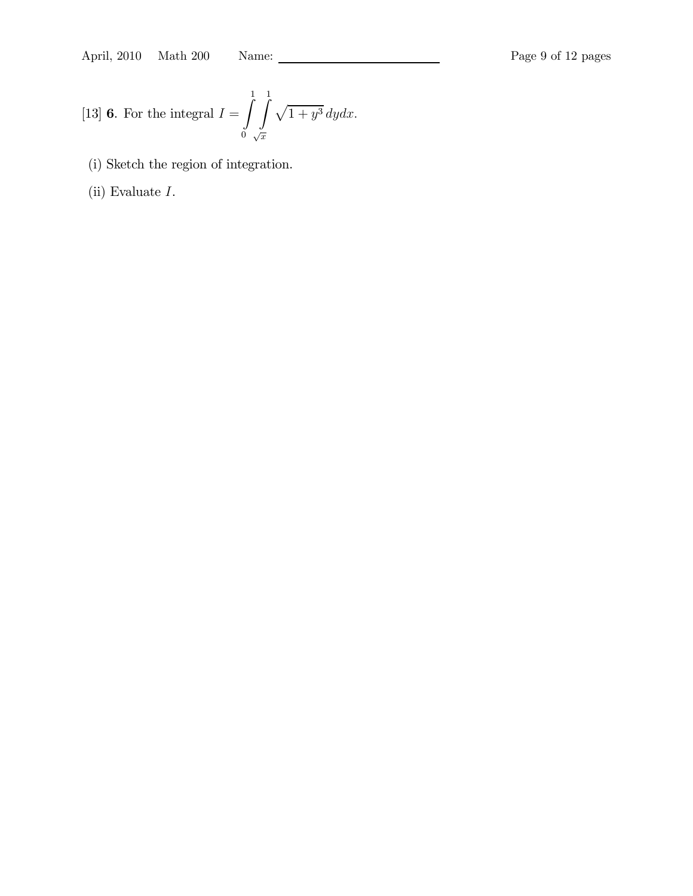April, 2010 Math 200 Name: Page 9 of 12 pages

[13] **6.** For the integral 
$$
I = \int_{0}^{1} \int_{\sqrt{x}}^{1} \sqrt{1 + y^3} dy dx.
$$

- (i) Sketch the region of integration.
- (ii) Evaluate I.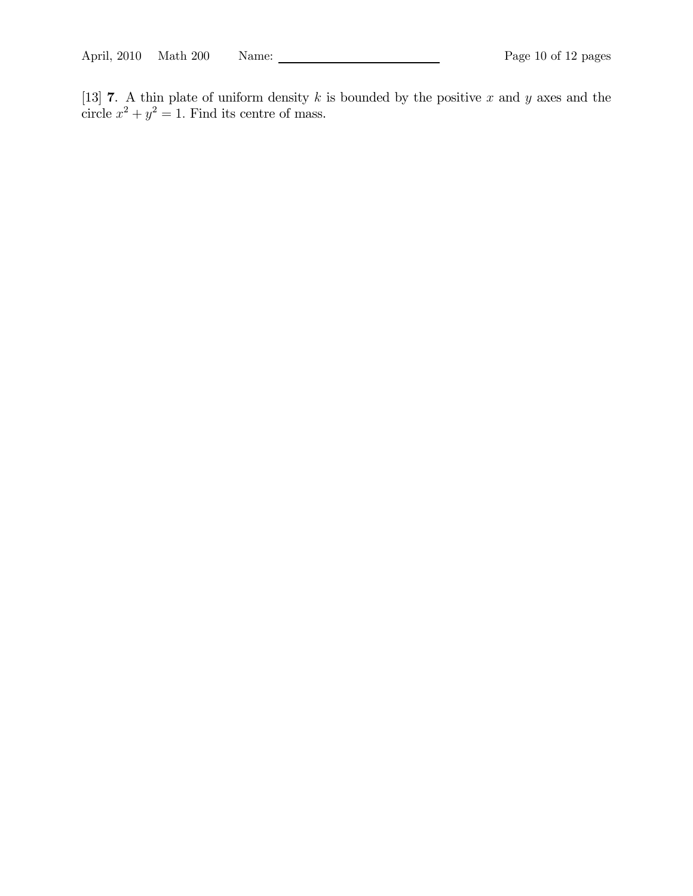[13] **7**. A thin plate of uniform density k is bounded by the positive x and y axes and the circle  $x^2 + y^2 = 1$ . Find its centre of mass.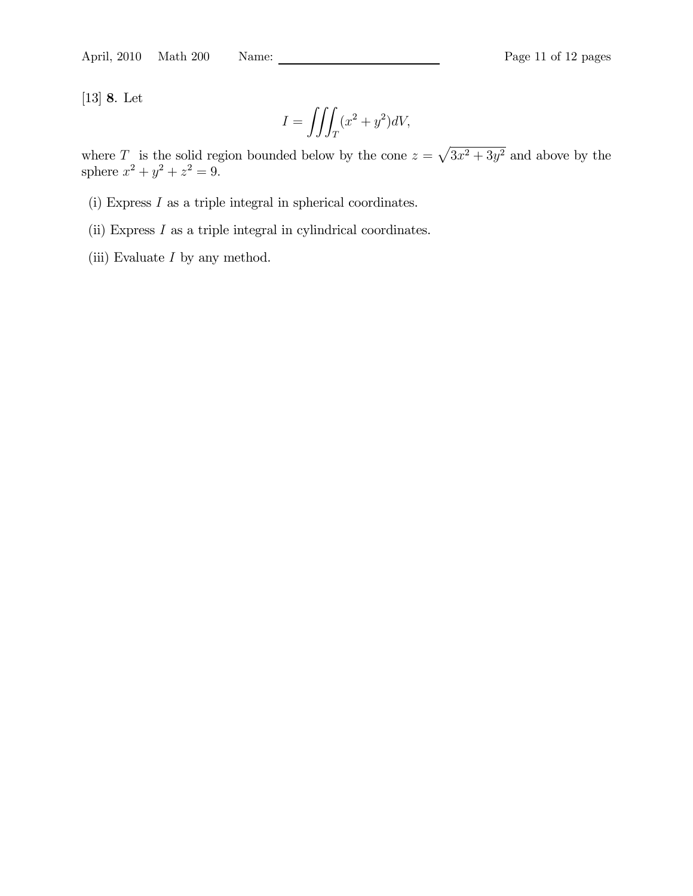[13] 8. Let

$$
I = \iiint_T (x^2 + y^2)dV,
$$

where T is the solid region bounded below by the cone  $z = \sqrt{3x^2 + 3y^2}$  and above by the sphere  $x^2 + y^2 + z^2 = 9$ .

- (i) Express I as a triple integral in spherical coordinates.
- (ii) Express I as a triple integral in cylindrical coordinates.
- (iii) Evaluate  $I$  by any method.